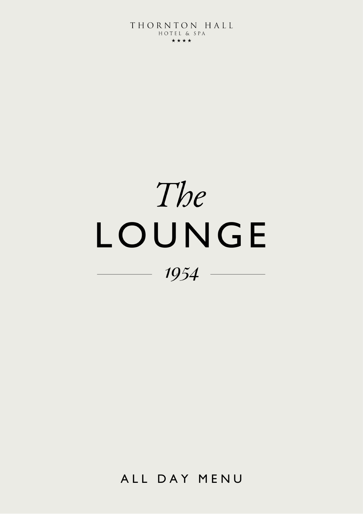# The LOUNGE  $1954 -$

ALL DAY MENU